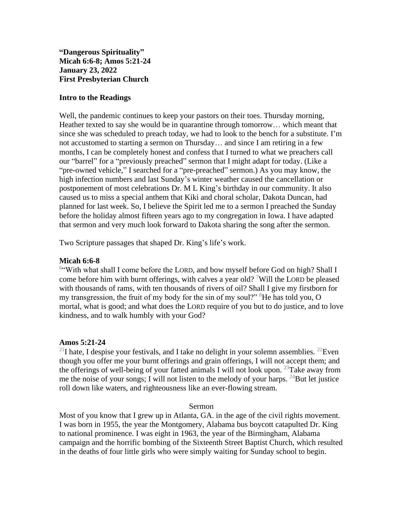**"Dangerous Spirituality" Micah 6:6-8; Amos 5:21-24 January 23, 2022 First Presbyterian Church**

## **Intro to the Readings**

Well, the pandemic continues to keep your pastors on their toes. Thursday morning, Heather texted to say she would be in quarantine through tomorrow… which meant that since she was scheduled to preach today, we had to look to the bench for a substitute. I'm not accustomed to starting a sermon on Thursday… and since I am retiring in a few months, I can be completely honest and confess that I turned to what we preachers call our "barrel" for a "previously preached" sermon that I might adapt for today. (Like a "pre-owned vehicle," I searched for a "pre-preached" sermon.) As you may know, the high infection numbers and last Sunday's winter weather caused the cancellation or postponement of most celebrations Dr. M L King's birthday in our community. It also caused us to miss a special anthem that Kiki and choral scholar, Dakota Duncan, had planned for last week. So, I believe the Spirit led me to a sermon I preached the Sunday before the holiday almost fifteen years ago to my congregation in Iowa. I have adapted that sermon and very much look forward to Dakota sharing the song after the sermon.

Two Scripture passages that shaped Dr. King's life's work.

# **Micah 6:6-8**

<sup>6</sup> With what shall I come before the LORD, and bow myself before God on high? Shall I come before him with burnt offerings, with calves a year old? <sup>7</sup>Will the LORD be pleased with thousands of rams, with ten thousands of rivers of oil? Shall I give my firstborn for my transgression, the fruit of my body for the sin of my soul?"  ${}^{8}$ He has told you, O mortal, what is good; and what does the LORD require of you but to do justice, and to love kindness, and to walk humbly with your God?

## **Amos 5:21-24**

<sup>21</sup>I hate, I despise your festivals, and I take no delight in your solemn assemblies. <sup>22</sup>Even though you offer me your burnt offerings and grain offerings, I will not accept them; and the offerings of well-being of your fatted animals I will not look upon. <sup>23</sup>Take away from me the noise of your songs; I will not listen to the melody of your harps.  $^{24}$ But let justice roll down like waters, and righteousness like an ever-flowing stream.

### Sermon

Most of you know that I grew up in Atlanta, GA. in the age of the civil rights movement. I was born in 1955, the year the Montgomery, Alabama bus boycott catapulted Dr. King to national prominence. I was eight in 1963, the year of the Birmingham, Alabama campaign and the horrific bombing of the Sixteenth Street Baptist Church, which resulted in the deaths of four little girls who were simply waiting for Sunday school to begin.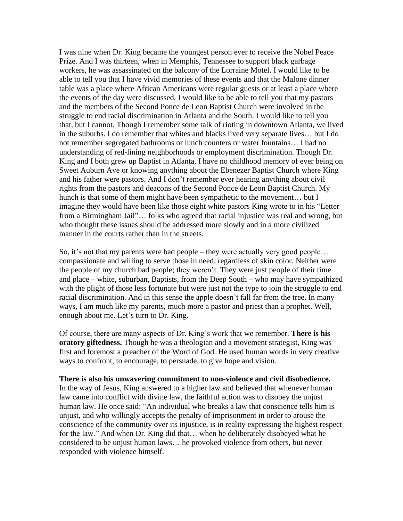I was nine when Dr. King became the youngest person ever to receive the Nobel Peace Prize. And I was thirteen, when in Memphis, Tennessee to support black garbage workers, he was assassinated on the balcony of the Lorraine Motel. I would like to be able to tell you that I have vivid memories of these events and that the Malone dinner table was a place where African Americans were regular guests or at least a place where the events of the day were discussed. I would like to be able to tell you that my pastors and the members of the Second Ponce de Leon Baptist Church were involved in the struggle to end racial discrimination in Atlanta and the South. I would like to tell you that, but I cannot. Though I remember some talk of rioting in downtown Atlanta, we lived in the suburbs. I do remember that whites and blacks lived very separate lives… but I do not remember segregated bathrooms or lunch counters or water fountains… I had no understanding of red-lining neighborhoods or employment discrimination. Though Dr. King and I both grew up Baptist in Atlanta, I have no childhood memory of ever being on Sweet Auburn Ave or knowing anything about the Ebenezer Baptist Church where King and his father were pastors. And I don't remember ever hearing anything about civil rights from the pastors and deacons of the Second Ponce de Leon Baptist Church. My hunch is that some of them might have been sympathetic to the movement... but I imagine they would have been like those eight white pastors King wrote to in his "Letter from a Birmingham Jail"… folks who agreed that racial injustice was real and wrong, but who thought these issues should be addressed more slowly and in a more civilized manner in the courts rather than in the streets.

So, it's not that my parents were bad people – they were actually very good people… compassionate and willing to serve those in need, regardless of skin color. Neither were the people of my church bad people; they weren't. They were just people of their time and place – white, suburban, Baptists, from the Deep South – who may have sympathized with the plight of those less fortunate but were just not the type to join the struggle to end racial discrimination. And in this sense the apple doesn't fall far from the tree. In many ways, I am much like my parents, much more a pastor and priest than a prophet. Well, enough about me. Let's turn to Dr. King.

Of course, there are many aspects of Dr. King's work that we remember. **There is his oratory giftedness.** Though he was a theologian and a movement strategist, King was first and foremost a preacher of the Word of God. He used human words in very creative ways to confront, to encourage, to persuade, to give hope and vision.

**There is also his unwavering commitment to non-violence and civil disobedience.**  In the way of Jesus, King answered to a higher law and believed that whenever human law came into conflict with divine law, the faithful action was to disobey the unjust human law. He once said: "An individual who breaks a law that conscience tells him is unjust, and who willingly accepts the penalty of imprisonment in order to arouse the conscience of the community over its injustice, is in reality expressing the highest respect for the law." And when Dr. King did that… when he deliberately disobeyed what he considered to be unjust human laws… he provoked violence from others, but never responded with violence himself.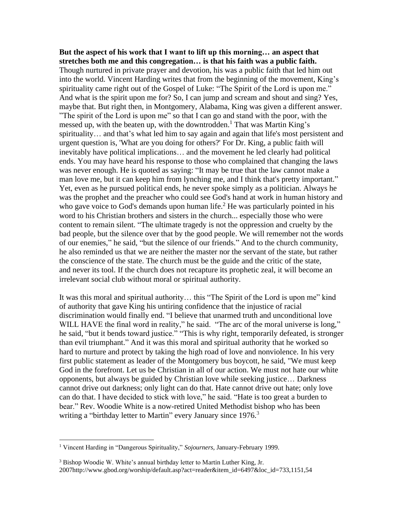**But the aspect of his work that I want to lift up this morning… an aspect that stretches both me and this congregation… is that his faith was a public faith.**  Though nurtured in private prayer and devotion, his was a public faith that led him out into the world. Vincent Harding writes that from the beginning of the movement, King's spirituality came right out of the Gospel of Luke: "The Spirit of the Lord is upon me." And what is the spirit upon me for? So, I can jump and scream and shout and sing? Yes, maybe that. But right then, in Montgomery, Alabama, King was given a different answer. "The spirit of the Lord is upon me" so that I can go and stand with the poor, with the messed up, with the beaten up, with the downtrodden.<sup>1</sup> That was Martin King's spirituality… and that's what led him to say again and again that life's most persistent and urgent question is, 'What are you doing for others?' For Dr. King, a public faith will inevitably have political implications… and the movement he led clearly had political ends. You may have heard his response to those who complained that changing the laws was never enough. He is quoted as saying: "It may be true that the law cannot make a man love me, but it can keep him from lynching me, and I think that's pretty important." Yet, even as he pursued political ends, he never spoke simply as a politician. Always he was the prophet and the preacher who could see God's hand at work in human history and who gave voice to God's demands upon human life.<sup>2</sup> He was particularly pointed in his word to his Christian brothers and sisters in the church... especially those who were content to remain silent. "The ultimate tragedy is not the oppression and cruelty by the bad people, but the silence over that by the good people. We will remember not the words of our enemies," he said, "but the silence of our friends." And to the church community, he also reminded us that we are neither the master nor the servant of the state, but rather the conscience of the state. The church must be the guide and the critic of the state, and never its tool. If the church does not recapture its prophetic zeal, it will become an irrelevant social club without moral or spiritual authority.

It was this moral and spiritual authority… this "The Spirit of the Lord is upon me" kind of authority that gave King his untiring confidence that the injustice of racial discrimination would finally end. "I believe that unarmed truth and unconditional love WILL HAVE the final word in reality," he said. "The arc of the moral universe is long," he said, "but it bends toward justice." "This is why right, temporarily defeated, is stronger than evil triumphant." And it was this moral and spiritual authority that he worked so hard to nurture and protect by taking the high road of love and nonviolence. In his very first public statement as leader of the Montgomery bus boycott, he said, "We must keep God in the forefront. Let us be Christian in all of our action. We must not hate our white opponents, but always be guided by Christian love while seeking justice… Darkness cannot drive out darkness; only light can do that. Hate cannot drive out hate; only love can do that. I have decided to stick with love," he said. "Hate is too great a burden to bear." Rev. Woodie White is a now-retired United Methodist bishop who has been writing a "birthday letter to Martin" every January since 1976.<sup>3</sup>

<sup>1</sup> Vincent Harding in "Dangerous Spirituality," *Sojourners,* January-February 1999.

<sup>&</sup>lt;sup>3</sup> Bishop Woodie W. White's annual birthday letter to Martin Luther King, Jr. 2007http://www.gbod.org/worship/default.asp?act=reader&item\_id=6497&loc\_id=733,1151,54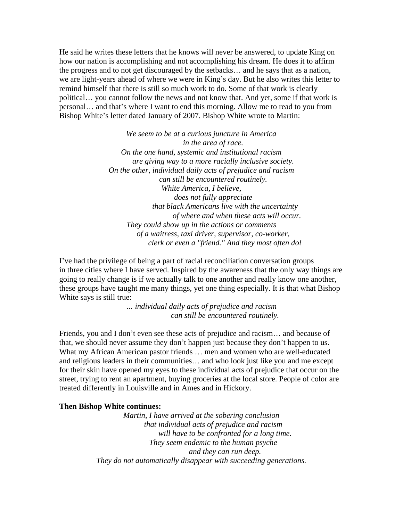He said he writes these letters that he knows will never be answered, to update King on how our nation is accomplishing and not accomplishing his dream. He does it to affirm the progress and to not get discouraged by the setbacks… and he says that as a nation, we are light-years ahead of where we were in King's day. But he also writes this letter to remind himself that there is still so much work to do. Some of that work is clearly political… you cannot follow the news and not know that. And yet, some if that work is personal… and that's where I want to end this morning. Allow me to read to you from Bishop White's letter dated January of 2007. Bishop White wrote to Martin:

> *We seem to be at a curious juncture in America in the area of race. On the one hand, systemic and institutional racism are giving way to a more racially inclusive society. On the other, individual daily acts of prejudice and racism can still be encountered routinely. White America, I believe, does not fully appreciate that black Americans live with the uncertainty of where and when these acts will occur. They could show up in the actions or comments of a waitress, taxi driver, supervisor, co-worker, clerk or even a "friend." And they most often do!*

I've had the privilege of being a part of racial reconciliation conversation groups in three cities where I have served. Inspired by the awareness that the only way things are going to really change is if we actually talk to one another and really know one another, these groups have taught me many things, yet one thing especially. It is that what Bishop White says is still true:

> *… individual daily acts of prejudice and racism can still be encountered routinely.*

Friends, you and I don't even see these acts of prejudice and racism… and because of that, we should never assume they don't happen just because they don't happen to us. What my African American pastor friends … men and women who are well-educated and religious leaders in their communities… and who look just like you and me except for their skin have opened my eyes to these individual acts of prejudice that occur on the street, trying to rent an apartment, buying groceries at the local store. People of color are treated differently in Louisville and in Ames and in Hickory.

#### **Then Bishop White continues:**

*Martin, I have arrived at the sobering conclusion that individual acts of prejudice and racism will have to be confronted for a long time. They seem endemic to the human psyche and they can run deep. They do not automatically disappear with succeeding generations.*